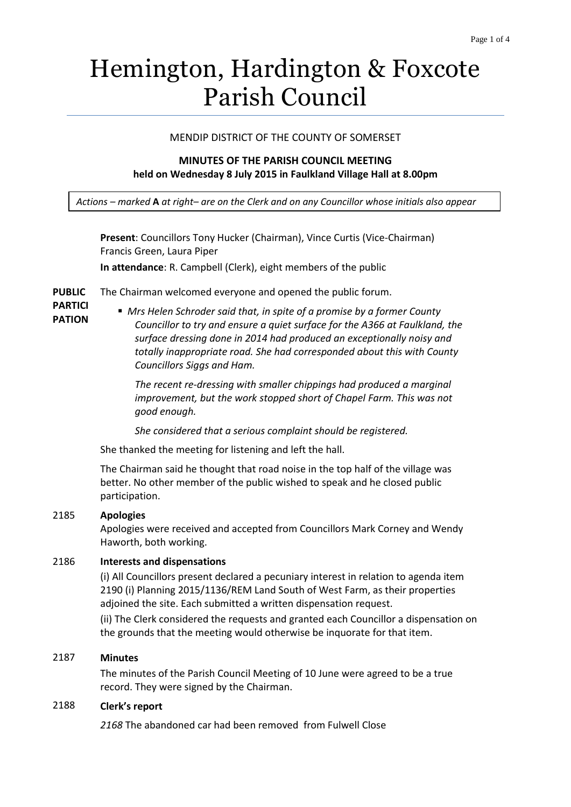# Hemington, Hardington & Foxcote Parish Council

### MENDIP DISTRICT OF THE COUNTY OF SOMERSET

## **MINUTES OF THE PARISH COUNCIL MEETING held on Wednesday 8 July 2015 in Faulkland Village Hall at 8.00pm**

*Actions – marked* **A** *at right– are on the Clerk and on any Councillor whose initials also appear*

**Present**: Councillors Tony Hucker (Chairman), Vince Curtis (Vice-Chairman) Francis Green, Laura Piper

**In attendance**: R. Campbell (Clerk), eight members of the public

**PUBLIC**  The Chairman welcomed everyone and opened the public forum.

*Councillors Siggs and Ham.* 

- **PARTICI PATION**
- *Mrs Helen Schroder said that, in spite of a promise by a former County Councillor to try and ensure a quiet surface for the A366 at Faulkland, the surface dressing done in 2014 had produced an exceptionally noisy and totally inappropriate road. She had corresponded about this with County*

*The recent re-dressing with smaller chippings had produced a marginal improvement, but the work stopped short of Chapel Farm. This was not good enough.* 

*She considered that a serious complaint should be registered.* 

She thanked the meeting for listening and left the hall.

The Chairman said he thought that road noise in the top half of the village was better. No other member of the public wished to speak and he closed public participation.

#### 2185 **Apologies**

Apologies were received and accepted from Councillors Mark Corney and Wendy Haworth, both working.

# 2186 **Interests and dispensations**

(i) All Councillors present declared a pecuniary interest in relation to agenda item 2190 (i) Planning 2015/1136/REM Land South of West Farm, as their properties adjoined the site. Each submitted a written dispensation request.

(ii) The Clerk considered the requests and granted each Councillor a dispensation on the grounds that the meeting would otherwise be inquorate for that item.

### 2187 **Minutes**

The minutes of the Parish Council Meeting of 10 June were agreed to be a true record. They were signed by the Chairman.

# 2188 **Clerk's report**

*2168* The abandoned car had been removed from Fulwell Close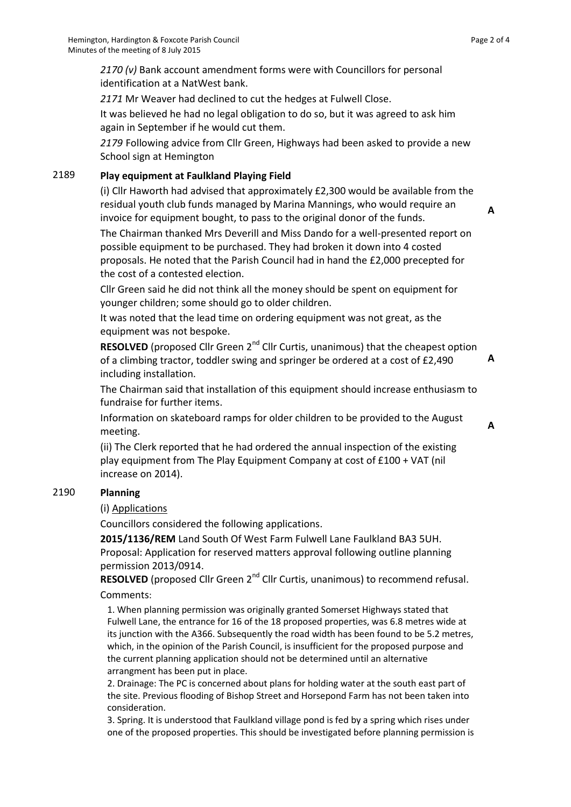*2170 (v)* Bank account amendment forms were with Councillors for personal identification at a NatWest bank.

*2171* Mr Weaver had declined to cut the hedges at Fulwell Close.

It was believed he had no legal obligation to do so, but it was agreed to ask him again in September if he would cut them.

*2179* Following advice from Cllr Green, Highways had been asked to provide a new School sign at Hemington

# 2189 **Play equipment at Faulkland Playing Field**

(i) Cllr Haworth had advised that approximately £2,300 would be available from the residual youth club funds managed by Marina Mannings, who would require an invoice for equipment bought, to pass to the original donor of the funds.

The Chairman thanked Mrs Deverill and Miss Dando for a well-presented report on possible equipment to be purchased. They had broken it down into 4 costed proposals. He noted that the Parish Council had in hand the £2,000 precepted for the cost of a contested election.

Cllr Green said he did not think all the money should be spent on equipment for younger children; some should go to older children.

It was noted that the lead time on ordering equipment was not great, as the equipment was not bespoke.

**RESOLVED** (proposed Cllr Green 2<sup>nd</sup> Cllr Curtis, unanimous) that the cheapest option of a climbing tractor, toddler swing and springer be ordered at a cost of £2,490 including installation.

**A**

**A**

**A**

The Chairman said that installation of this equipment should increase enthusiasm to fundraise for further items.

Information on skateboard ramps for older children to be provided to the August meeting.

(ii) The Clerk reported that he had ordered the annual inspection of the existing play equipment from The Play Equipment Company at cost of £100 + VAT (nil increase on 2014).

## 2190 **Planning**

(i) Applications

Councillors considered the following applications.

**2015/1136/REM** Land South Of West Farm Fulwell Lane Faulkland BA3 5UH. Proposal: Application for reserved matters approval following outline planning permission 2013/0914.

**RESOLVED** (proposed Cllr Green 2<sup>nd</sup> Cllr Curtis, unanimous) to recommend refusal. Comments:

 1. When planning permission was originally granted Somerset Highways stated that Fulwell Lane, the entrance for 16 of the 18 proposed properties, was 6.8 metres wide at its junction with the A366. Subsequently the road width has been found to be 5.2 metres, which, in the opinion of the Parish Council, is insufficient for the proposed purpose and the current planning application should not be determined until an alternative arrangment has been put in place.

 2. Drainage: The PC is concerned about plans for holding water at the south east part of the site. Previous flooding of Bishop Street and Horsepond Farm has not been taken into consideration.

 3. Spring. It is understood that Faulkland village pond is fed by a spring which rises under one of the proposed properties. This should be investigated before planning permission is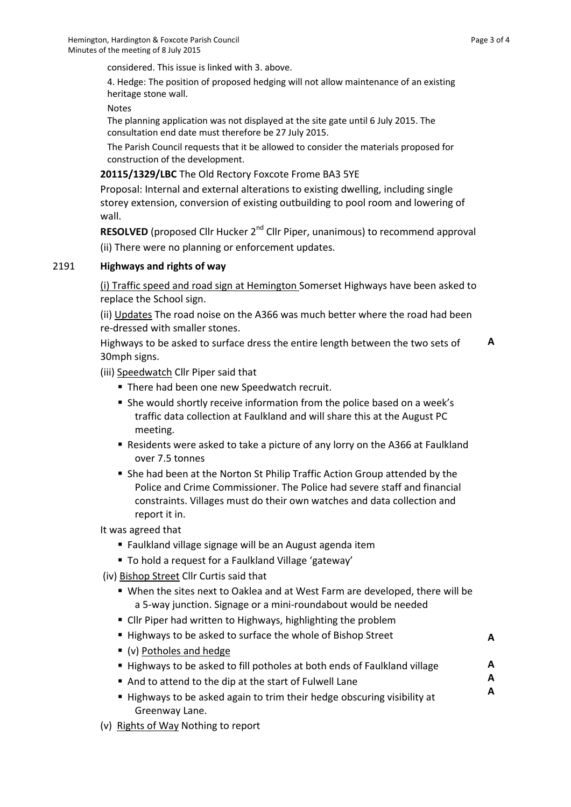**A**

**A A A**

considered. This issue is linked with 3. above.

 4. Hedge: The position of proposed hedging will not allow maintenance of an existing heritage stone wall.

Notes

 The planning application was not displayed at the site gate until 6 July 2015. The consultation end date must therefore be 27 July 2015.

 The Parish Council requests that it be allowed to consider the materials proposed for construction of the development.

#### **20115/1329/LBC** The Old Rectory Foxcote Frome BA3 5YE

Proposal: Internal and external alterations to existing dwelling, including single storey extension, conversion of existing outbuilding to pool room and lowering of wall.

**RESOLVED** (proposed Cllr Hucker 2<sup>nd</sup> Cllr Piper, unanimous) to recommend approval (ii) There were no planning or enforcement updates.

#### 2191 **Highways and rights of way**

(i) Traffic speed and road sign at Hemington Somerset Highways have been asked to replace the School sign.

(ii) Updates The road noise on the A366 was much better where the road had been re-dressed with smaller stones.

Highways to be asked to surface dress the entire length between the two sets of 30mph signs. **A**

(iii) Speedwatch Cllr Piper said that

- **There had been one new Speedwatch recruit.**
- She would shortly receive information from the police based on a week's traffic data collection at Faulkland and will share this at the August PC meeting.
- Residents were asked to take a picture of any lorry on the A366 at Faulkland over 7.5 tonnes
- She had been at the Norton St Philip Traffic Action Group attended by the Police and Crime Commissioner. The Police had severe staff and financial constraints. Villages must do their own watches and data collection and report it in.

It was agreed that

- Faulkland village signage will be an August agenda item
- To hold a request for a Faulkland Village 'gateway'
- (iv) Bishop Street Cllr Curtis said that
	- When the sites next to Oaklea and at West Farm are developed, there will be a 5-way junction. Signage or a mini-roundabout would be needed
	- **EXT** Cllr Piper had written to Highways, highlighting the problem
	- Highways to be asked to surface the whole of Bishop Street
	- (v) Potholes and hedge
	- Highways to be asked to fill potholes at both ends of Faulkland village
	- And to attend to the dip at the start of Fulwell Lane
	- Highways to be asked again to trim their hedge obscuring visibility at Greenway Lane.
- (v) Rights of Way Nothing to report